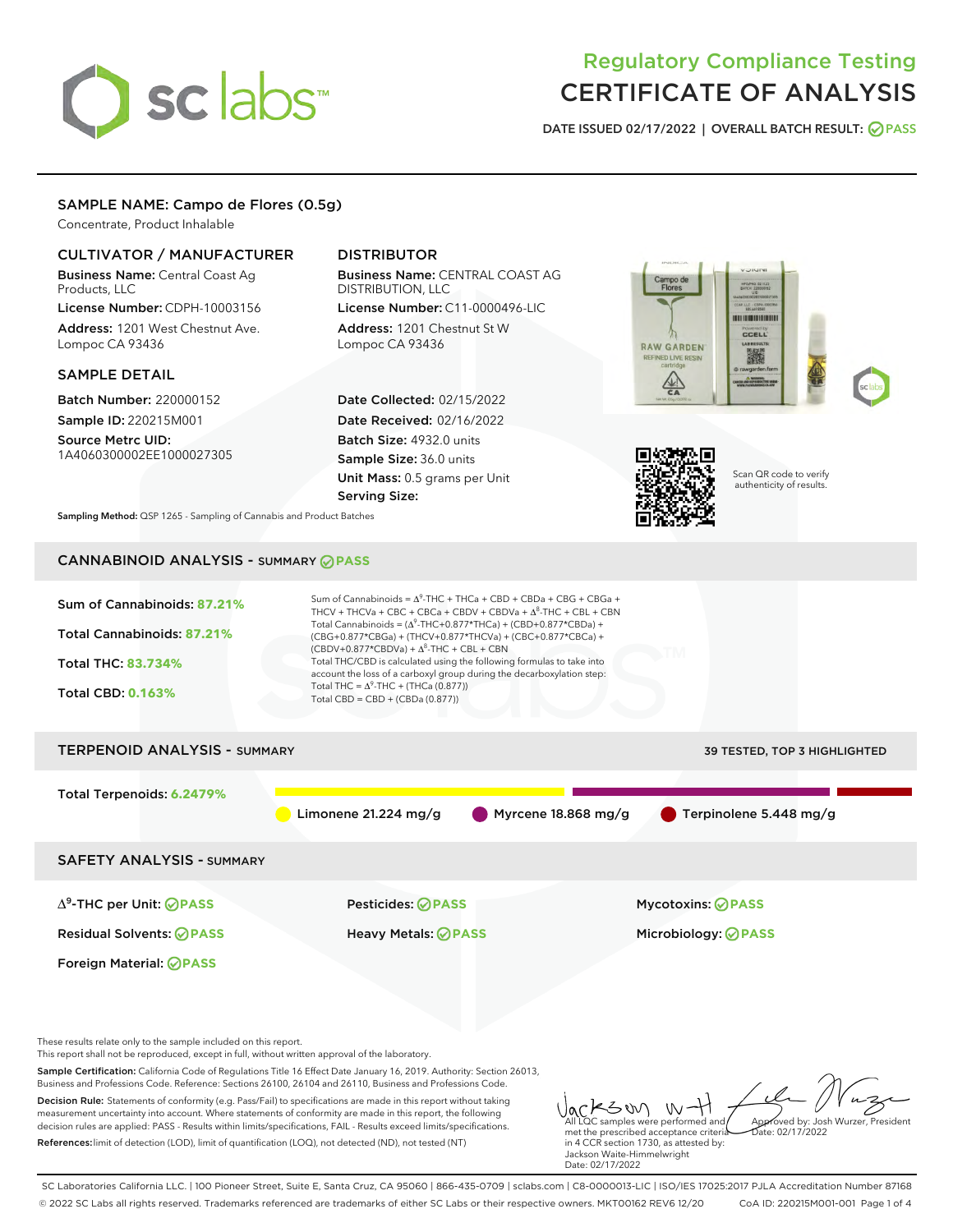# sclabs<sup>\*</sup>

# Regulatory Compliance Testing CERTIFICATE OF ANALYSIS

DATE ISSUED 02/17/2022 | OVERALL BATCH RESULT: @ PASS

## SAMPLE NAME: Campo de Flores (0.5g)

Concentrate, Product Inhalable

#### CULTIVATOR / MANUFACTURER

Business Name: Central Coast Ag Products, LLC

License Number: CDPH-10003156 Address: 1201 West Chestnut Ave. Lompoc CA 93436

#### SAMPLE DETAIL

Batch Number: 220000152 Sample ID: 220215M001

Source Metrc UID: 1A4060300002EE1000027305

# DISTRIBUTOR

Business Name: CENTRAL COAST AG DISTRIBUTION, LLC License Number: C11-0000496-LIC

Address: 1201 Chestnut St W Lompoc CA 93436

Date Collected: 02/15/2022 Date Received: 02/16/2022 Batch Size: 4932.0 units Sample Size: 36.0 units Unit Mass: 0.5 grams per Unit Serving Size:





Scan QR code to verify authenticity of results.

Sampling Method: QSP 1265 - Sampling of Cannabis and Product Batches

# CANNABINOID ANALYSIS - SUMMARY **PASS**



Decision Rule: Statements of conformity (e.g. Pass/Fail) to specifications are made in this report without taking measurement uncertainty into account. Where statements of conformity are made in this report, the following decision rules are applied: PASS - Results within limits/specifications, FAIL - Results exceed limits/specifications.

References:limit of detection (LOD), limit of quantification (LOQ), not detected (ND), not tested (NT)

ACLS UV W-H met the prescribed acceptance criteria in 4 CCR section 1730, as attested by: Jackson Waite-Himmelwright Date: 02/17/2022 Approved by: Josh Wurzer, President Date: 02/17/2022

SC Laboratories California LLC. | 100 Pioneer Street, Suite E, Santa Cruz, CA 95060 | 866-435-0709 | sclabs.com | C8-0000013-LIC | ISO/IES 17025:2017 PJLA Accreditation Number 87168 © 2022 SC Labs all rights reserved. Trademarks referenced are trademarks of either SC Labs or their respective owners. MKT00162 REV6 12/20 CoA ID: 220215M001-001 Page 1 of 4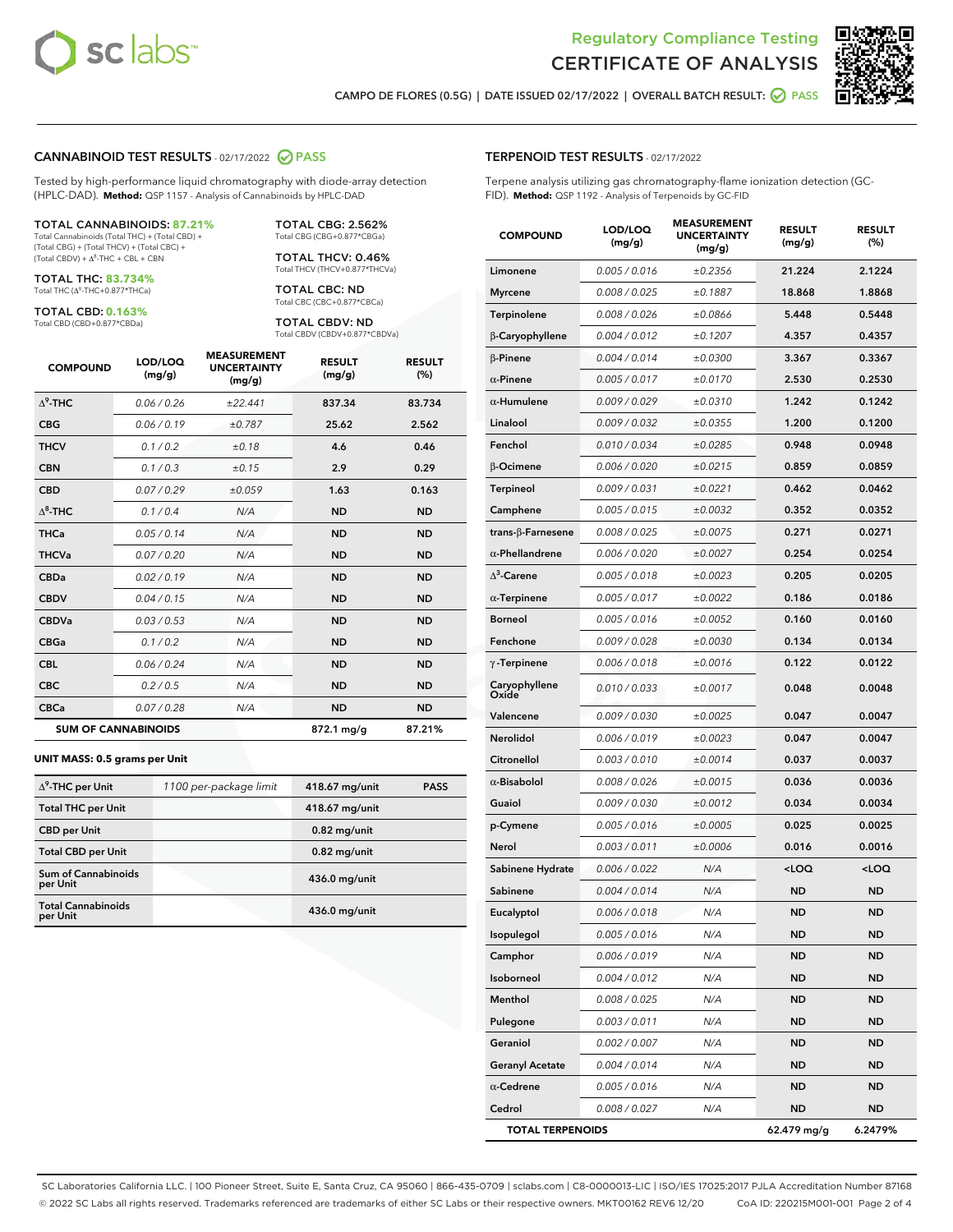



CAMPO DE FLORES (0.5G) | DATE ISSUED 02/17/2022 | OVERALL BATCH RESULT:  $\bigcirc$  PASS

#### CANNABINOID TEST RESULTS - 02/17/2022 2 PASS

Tested by high-performance liquid chromatography with diode-array detection (HPLC-DAD). **Method:** QSP 1157 - Analysis of Cannabinoids by HPLC-DAD

#### TOTAL CANNABINOIDS: **87.21%**

Total Cannabinoids (Total THC) + (Total CBD) + (Total CBG) + (Total THCV) + (Total CBC) +  $(Total CBDV) +  $\Delta^8$ -THC + CBL + CBN$ 

TOTAL THC: **83.734%** Total THC (Δ<sup>9</sup>-THC+0.877\*THCa)

TOTAL CBD: **0.163%**

Total CBD (CBD+0.877\*CBDa)

TOTAL CBG: 2.562% Total CBG (CBG+0.877\*CBGa)

TOTAL THCV: 0.46% Total THCV (THCV+0.877\*THCVa)

TOTAL CBC: ND Total CBC (CBC+0.877\*CBCa)

TOTAL CBDV: ND Total CBDV (CBDV+0.877\*CBDVa)

| <b>COMPOUND</b>  | LOD/LOQ<br>(mg/g)          | <b>MEASUREMENT</b><br><b>UNCERTAINTY</b><br>(mg/g) | <b>RESULT</b><br>(mg/g) | <b>RESULT</b><br>(%) |
|------------------|----------------------------|----------------------------------------------------|-------------------------|----------------------|
| $\Lambda^9$ -THC | 0.06/0.26                  | ±22.441                                            | 837.34                  | 83.734               |
| <b>CBG</b>       | 0.06/0.19                  | ±0.787                                             | 25.62                   | 2.562                |
| <b>THCV</b>      | 0.1/0.2                    | ±0.18                                              | 4.6                     | 0.46                 |
| <b>CBN</b>       | 0.1/0.3                    | ±0.15                                              | 2.9                     | 0.29                 |
| <b>CBD</b>       | 0.07/0.29                  | ±0.059                                             | 1.63                    | 0.163                |
| $\Delta^8$ -THC  | 0.1/0.4                    | N/A                                                | <b>ND</b>               | <b>ND</b>            |
| <b>THCa</b>      | 0.05 / 0.14                | N/A                                                | <b>ND</b>               | <b>ND</b>            |
| <b>THCVa</b>     | 0.07 / 0.20                | N/A                                                | <b>ND</b>               | <b>ND</b>            |
| <b>CBDa</b>      | 0.02/0.19                  | N/A                                                | <b>ND</b>               | <b>ND</b>            |
| <b>CBDV</b>      | 0.04 / 0.15                | N/A                                                | <b>ND</b>               | <b>ND</b>            |
| <b>CBDVa</b>     | 0.03/0.53                  | N/A                                                | <b>ND</b>               | <b>ND</b>            |
| <b>CBGa</b>      | 0.1 / 0.2                  | N/A                                                | <b>ND</b>               | <b>ND</b>            |
| <b>CBL</b>       | 0.06 / 0.24                | N/A                                                | <b>ND</b>               | <b>ND</b>            |
| <b>CBC</b>       | 0.2 / 0.5                  | N/A                                                | <b>ND</b>               | <b>ND</b>            |
| <b>CBCa</b>      | 0.07 / 0.28                | N/A                                                | <b>ND</b>               | <b>ND</b>            |
|                  | <b>SUM OF CANNABINOIDS</b> |                                                    | 872.1 mg/g              | 87.21%               |

#### **UNIT MASS: 0.5 grams per Unit**

| $\Delta^9$ -THC per Unit              | 1100 per-package limit | 418.67 mg/unit  | <b>PASS</b> |
|---------------------------------------|------------------------|-----------------|-------------|
| <b>Total THC per Unit</b>             |                        | 418.67 mg/unit  |             |
| <b>CBD per Unit</b>                   |                        | $0.82$ mg/unit  |             |
| <b>Total CBD per Unit</b>             |                        | $0.82$ mg/unit  |             |
| Sum of Cannabinoids<br>per Unit       |                        | 436.0 mg/unit   |             |
| <b>Total Cannabinoids</b><br>per Unit |                        | $436.0$ mg/unit |             |

| <b>COMPOUND</b>           | LOD/LOQ<br>(mg/g) | <b>MEASUREMENT</b><br><b>UNCERTAINTY</b><br>(mg/g) | <b>RESULT</b><br>(mg/g)                         | <b>RESULT</b><br>(%) |
|---------------------------|-------------------|----------------------------------------------------|-------------------------------------------------|----------------------|
| Limonene                  | 0.005 / 0.016     | ±0.2356                                            | 21.224                                          | 2.1224               |
| Myrcene                   | 0.008 / 0.025     | ±0.1887                                            | 18.868                                          | 1.8868               |
| Terpinolene               | 0.008 / 0.026     | ±0.0866                                            | 5.448                                           | 0.5448               |
| β-Caryophyllene           | 0.004 / 0.012     | ±0.1207                                            | 4.357                                           | 0.4357               |
| $\beta$ -Pinene           | 0.004 / 0.014     | ±0.0300                                            | 3.367                                           | 0.3367               |
| $\alpha$ -Pinene          | 0.005 / 0.017     | ±0.0170                                            | 2.530                                           | 0.2530               |
| $\alpha$ -Humulene        | 0.009/0.029       | ±0.0310                                            | 1.242                                           | 0.1242               |
| Linalool                  | 0.009 / 0.032     | ±0.0355                                            | 1.200                                           | 0.1200               |
| Fenchol                   | 0.010 / 0.034     | ±0.0285                                            | 0.948                                           | 0.0948               |
| β-Ocimene                 | 0.006 / 0.020     | ±0.0215                                            | 0.859                                           | 0.0859               |
| Terpineol                 | 0.009 / 0.031     | ±0.0221                                            | 0.462                                           | 0.0462               |
| Camphene                  | 0.005 / 0.015     | ±0.0032                                            | 0.352                                           | 0.0352               |
| trans- $\beta$ -Farnesene | 0.008 / 0.025     | ±0.0075                                            | 0.271                                           | 0.0271               |
| $\alpha$ -Phellandrene    | 0.006 / 0.020     | ±0.0027                                            | 0.254                                           | 0.0254               |
| $\Lambda^3$ -Carene       | 0.005 / 0.018     | ±0.0023                                            | 0.205                                           | 0.0205               |
| $\alpha$ -Terpinene       | 0.005 / 0.017     | ±0.0022                                            | 0.186                                           | 0.0186               |
| <b>Borneol</b>            | 0.005 / 0.016     | ±0.0052                                            | 0.160                                           | 0.0160               |
| Fenchone                  | 0.009 / 0.028     | ±0.0030                                            | 0.134                                           | 0.0134               |
| $\gamma$ -Terpinene       | 0.006 / 0.018     | ±0.0016                                            | 0.122                                           | 0.0122               |
| Caryophyllene<br>Oxide    | 0.010 / 0.033     | ±0.0017                                            | 0.048                                           | 0.0048               |
| Valencene                 | 0.009 / 0.030     | ±0.0025                                            | 0.047                                           | 0.0047               |
| Nerolidol                 | 0.006 / 0.019     | ±0.0023                                            | 0.047                                           | 0.0047               |
| Citronellol               | 0.003 / 0.010     | ±0.0014                                            | 0.037                                           | 0.0037               |
| $\alpha$ -Bisabolol       | 0.008 / 0.026     | ±0.0015                                            | 0.036                                           | 0.0036               |
| Guaiol                    | 0.009 / 0.030     | ±0.0012                                            | 0.034                                           | 0.0034               |
| p-Cymene                  | 0.005 / 0.016     | ±0.0005                                            | 0.025                                           | 0.0025               |
| Nerol                     | 0.003/0.011       | ±0.0006                                            | 0.016                                           | 0.0016               |
| Sabinene Hydrate          | 0.006 / 0.022     | N/A                                                | <loq< th=""><th><loq< th=""></loq<></th></loq<> | <loq< th=""></loq<>  |
| Sabinene                  | 0.004 / 0.014     | N/A                                                | <b>ND</b>                                       | ND                   |
| Eucalyptol                | 0.006 / 0.018     | N/A                                                | <b>ND</b>                                       | ND                   |
| Isopulegol                | 0.005 / 0.016     | N/A                                                | ND                                              | ND                   |
| Camphor                   | 0.006 / 0.019     | N/A                                                | ND                                              | ND                   |
| Isoborneol                | 0.004 / 0.012     | N/A                                                | ND                                              | ND                   |
| Menthol                   | 0.008 / 0.025     | N/A                                                | ND                                              | ND                   |
| Pulegone                  | 0.003 / 0.011     | N/A                                                | ND                                              | ND                   |
| Geraniol                  | 0.002 / 0.007     | N/A                                                | <b>ND</b>                                       | ND                   |
| <b>Geranyl Acetate</b>    | 0.004 / 0.014     | N/A                                                | ND                                              | ND                   |
| $\alpha$ -Cedrene         | 0.005 / 0.016     | N/A                                                | ND                                              | ND                   |
| Cedrol                    | 0.008 / 0.027     | N/A                                                | ND                                              | ND                   |

TOTAL TERPENOIDS 62.479 mg/g 6.2479%

SC Laboratories California LLC. | 100 Pioneer Street, Suite E, Santa Cruz, CA 95060 | 866-435-0709 | sclabs.com | C8-0000013-LIC | ISO/IES 17025:2017 PJLA Accreditation Number 87168 © 2022 SC Labs all rights reserved. Trademarks referenced are trademarks of either SC Labs or their respective owners. MKT00162 REV6 12/20 CoA ID: 220215M001-001 Page 2 of 4

## TERPENOID TEST RESULTS - 02/17/2022

Terpene analysis utilizing gas chromatography-flame ionization detection (GC-FID). **Method:** QSP 1192 - Analysis of Terpenoids by GC-FID

MEASUREMENT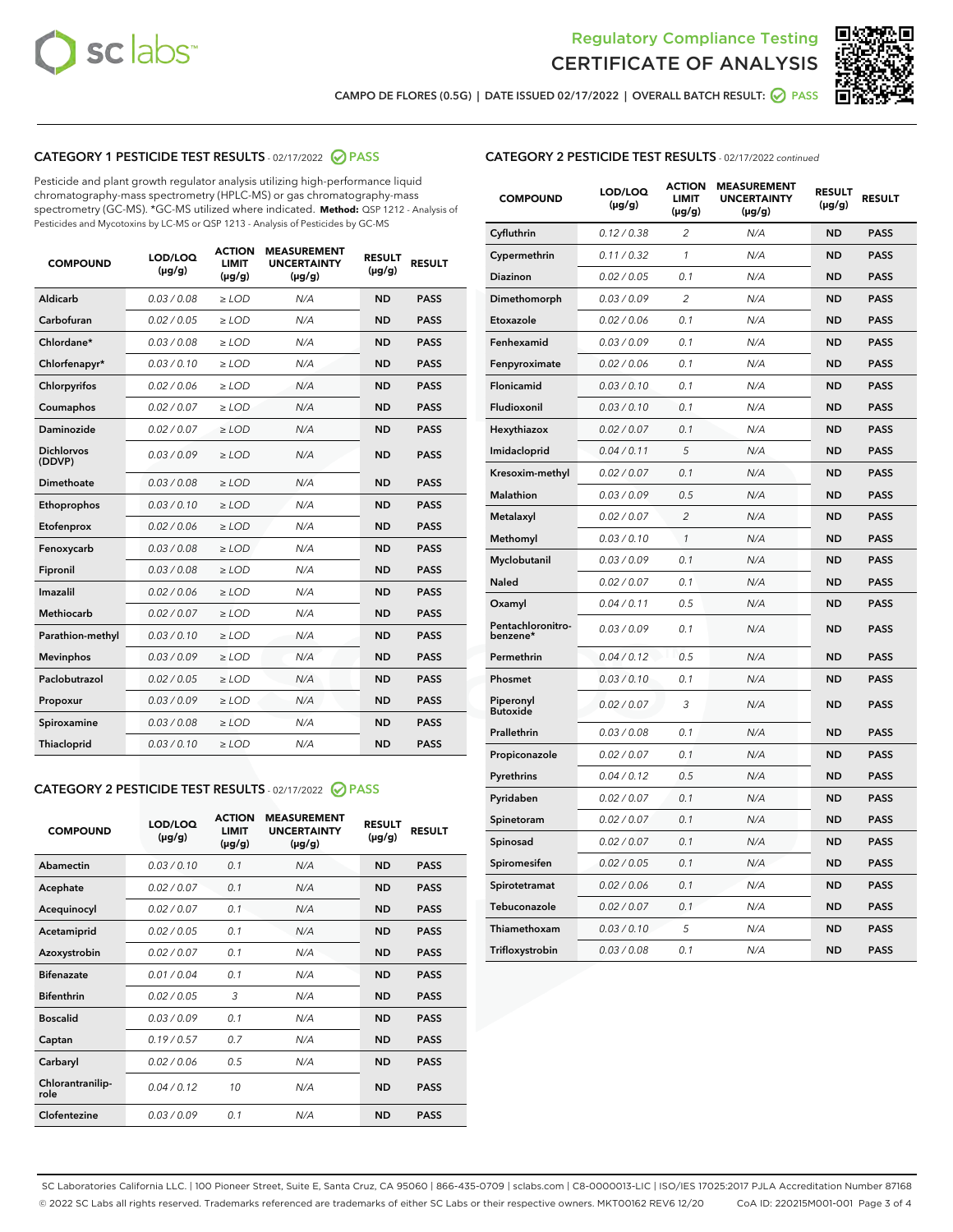



CAMPO DE FLORES (0.5G) | DATE ISSUED 02/17/2022 | OVERALL BATCH RESULT: ☑ PASS

# CATEGORY 1 PESTICIDE TEST RESULTS - 02/17/2022 2 PASS

Pesticide and plant growth regulator analysis utilizing high-performance liquid chromatography-mass spectrometry (HPLC-MS) or gas chromatography-mass spectrometry (GC-MS). \*GC-MS utilized where indicated. **Method:** QSP 1212 - Analysis of Pesticides and Mycotoxins by LC-MS or QSP 1213 - Analysis of Pesticides by GC-MS

| 0.03 / 0.08<br><b>ND</b><br>Aldicarb<br>$\ge$ LOD<br>N/A<br><b>PASS</b><br>Carbofuran<br>0.02 / 0.05<br>$>$ LOD<br>N/A<br><b>ND</b><br><b>PASS</b><br>Chlordane*<br>0.03 / 0.08<br>N/A<br><b>ND</b><br><b>PASS</b><br>$\ge$ LOD<br>Chlorfenapyr*<br>0.03/0.10<br>N/A<br><b>ND</b><br><b>PASS</b><br>$\ge$ LOD<br>N/A<br><b>ND</b><br><b>PASS</b><br>Chlorpyrifos<br>0.02/0.06<br>$>$ LOD<br>0.02 / 0.07<br><b>PASS</b><br>Coumaphos<br>$\ge$ LOD<br>N/A<br><b>ND</b><br>Daminozide<br>0.02 / 0.07<br>N/A<br><b>PASS</b><br>$\ge$ LOD<br><b>ND</b><br><b>Dichlorvos</b><br>0.03/0.09<br>$\ge$ LOD<br>N/A<br><b>ND</b><br><b>PASS</b><br>(DDVP)<br>0.03 / 0.08<br><b>ND</b><br>Dimethoate<br>$>$ LOD<br>N/A<br><b>PASS</b><br>0.03/0.10<br><b>ND</b><br><b>PASS</b><br>Ethoprophos<br>$>$ LOD<br>N/A<br>0.02 / 0.06<br>N/A<br><b>ND</b><br><b>PASS</b><br>Etofenprox<br>$\ge$ LOD<br>0.03 / 0.08<br>N/A<br><b>ND</b><br><b>PASS</b><br>Fenoxycarb<br>$\ge$ LOD<br>0.03 / 0.08<br><b>ND</b><br><b>PASS</b><br>Fipronil<br>$\ge$ LOD<br>N/A<br>Imazalil<br>0.02 / 0.06<br>N/A<br><b>ND</b><br><b>PASS</b><br>$\ge$ LOD<br><b>Methiocarb</b><br>0.02 / 0.07<br>$\ge$ LOD<br>N/A<br><b>ND</b><br><b>PASS</b><br>Parathion-methyl<br>0.03/0.10<br>$>$ LOD<br>N/A<br><b>ND</b><br><b>PASS</b><br>0.03/0.09<br>N/A<br><b>ND</b><br><b>PASS</b><br><b>Mevinphos</b><br>$\ge$ LOD<br>Paclobutrazol<br>0.02 / 0.05<br>N/A<br><b>ND</b><br><b>PASS</b><br>$\ge$ LOD<br>0.03/0.09<br>$>$ LOD<br>N/A<br><b>ND</b><br><b>PASS</b><br>Propoxur<br>0.03 / 0.08<br>$\ge$ LOD<br>N/A<br><b>ND</b><br><b>PASS</b><br>Spiroxamine<br>0.03/0.10<br>N/A<br><b>ND</b><br><b>PASS</b><br>Thiacloprid<br>$\ge$ LOD | <b>COMPOUND</b> | LOD/LOQ<br>$(\mu g/g)$ | <b>ACTION</b><br><b>LIMIT</b><br>$(\mu g/g)$ | <b>MEASUREMENT</b><br><b>UNCERTAINTY</b><br>$(\mu g/g)$ | <b>RESULT</b><br>$(\mu g/g)$ | <b>RESULT</b> |
|-----------------------------------------------------------------------------------------------------------------------------------------------------------------------------------------------------------------------------------------------------------------------------------------------------------------------------------------------------------------------------------------------------------------------------------------------------------------------------------------------------------------------------------------------------------------------------------------------------------------------------------------------------------------------------------------------------------------------------------------------------------------------------------------------------------------------------------------------------------------------------------------------------------------------------------------------------------------------------------------------------------------------------------------------------------------------------------------------------------------------------------------------------------------------------------------------------------------------------------------------------------------------------------------------------------------------------------------------------------------------------------------------------------------------------------------------------------------------------------------------------------------------------------------------------------------------------------------------------------------------------------------------------------------------------------------|-----------------|------------------------|----------------------------------------------|---------------------------------------------------------|------------------------------|---------------|
|                                                                                                                                                                                                                                                                                                                                                                                                                                                                                                                                                                                                                                                                                                                                                                                                                                                                                                                                                                                                                                                                                                                                                                                                                                                                                                                                                                                                                                                                                                                                                                                                                                                                                         |                 |                        |                                              |                                                         |                              |               |
|                                                                                                                                                                                                                                                                                                                                                                                                                                                                                                                                                                                                                                                                                                                                                                                                                                                                                                                                                                                                                                                                                                                                                                                                                                                                                                                                                                                                                                                                                                                                                                                                                                                                                         |                 |                        |                                              |                                                         |                              |               |
|                                                                                                                                                                                                                                                                                                                                                                                                                                                                                                                                                                                                                                                                                                                                                                                                                                                                                                                                                                                                                                                                                                                                                                                                                                                                                                                                                                                                                                                                                                                                                                                                                                                                                         |                 |                        |                                              |                                                         |                              |               |
|                                                                                                                                                                                                                                                                                                                                                                                                                                                                                                                                                                                                                                                                                                                                                                                                                                                                                                                                                                                                                                                                                                                                                                                                                                                                                                                                                                                                                                                                                                                                                                                                                                                                                         |                 |                        |                                              |                                                         |                              |               |
|                                                                                                                                                                                                                                                                                                                                                                                                                                                                                                                                                                                                                                                                                                                                                                                                                                                                                                                                                                                                                                                                                                                                                                                                                                                                                                                                                                                                                                                                                                                                                                                                                                                                                         |                 |                        |                                              |                                                         |                              |               |
|                                                                                                                                                                                                                                                                                                                                                                                                                                                                                                                                                                                                                                                                                                                                                                                                                                                                                                                                                                                                                                                                                                                                                                                                                                                                                                                                                                                                                                                                                                                                                                                                                                                                                         |                 |                        |                                              |                                                         |                              |               |
|                                                                                                                                                                                                                                                                                                                                                                                                                                                                                                                                                                                                                                                                                                                                                                                                                                                                                                                                                                                                                                                                                                                                                                                                                                                                                                                                                                                                                                                                                                                                                                                                                                                                                         |                 |                        |                                              |                                                         |                              |               |
|                                                                                                                                                                                                                                                                                                                                                                                                                                                                                                                                                                                                                                                                                                                                                                                                                                                                                                                                                                                                                                                                                                                                                                                                                                                                                                                                                                                                                                                                                                                                                                                                                                                                                         |                 |                        |                                              |                                                         |                              |               |
|                                                                                                                                                                                                                                                                                                                                                                                                                                                                                                                                                                                                                                                                                                                                                                                                                                                                                                                                                                                                                                                                                                                                                                                                                                                                                                                                                                                                                                                                                                                                                                                                                                                                                         |                 |                        |                                              |                                                         |                              |               |
|                                                                                                                                                                                                                                                                                                                                                                                                                                                                                                                                                                                                                                                                                                                                                                                                                                                                                                                                                                                                                                                                                                                                                                                                                                                                                                                                                                                                                                                                                                                                                                                                                                                                                         |                 |                        |                                              |                                                         |                              |               |
|                                                                                                                                                                                                                                                                                                                                                                                                                                                                                                                                                                                                                                                                                                                                                                                                                                                                                                                                                                                                                                                                                                                                                                                                                                                                                                                                                                                                                                                                                                                                                                                                                                                                                         |                 |                        |                                              |                                                         |                              |               |
|                                                                                                                                                                                                                                                                                                                                                                                                                                                                                                                                                                                                                                                                                                                                                                                                                                                                                                                                                                                                                                                                                                                                                                                                                                                                                                                                                                                                                                                                                                                                                                                                                                                                                         |                 |                        |                                              |                                                         |                              |               |
|                                                                                                                                                                                                                                                                                                                                                                                                                                                                                                                                                                                                                                                                                                                                                                                                                                                                                                                                                                                                                                                                                                                                                                                                                                                                                                                                                                                                                                                                                                                                                                                                                                                                                         |                 |                        |                                              |                                                         |                              |               |
|                                                                                                                                                                                                                                                                                                                                                                                                                                                                                                                                                                                                                                                                                                                                                                                                                                                                                                                                                                                                                                                                                                                                                                                                                                                                                                                                                                                                                                                                                                                                                                                                                                                                                         |                 |                        |                                              |                                                         |                              |               |
|                                                                                                                                                                                                                                                                                                                                                                                                                                                                                                                                                                                                                                                                                                                                                                                                                                                                                                                                                                                                                                                                                                                                                                                                                                                                                                                                                                                                                                                                                                                                                                                                                                                                                         |                 |                        |                                              |                                                         |                              |               |
|                                                                                                                                                                                                                                                                                                                                                                                                                                                                                                                                                                                                                                                                                                                                                                                                                                                                                                                                                                                                                                                                                                                                                                                                                                                                                                                                                                                                                                                                                                                                                                                                                                                                                         |                 |                        |                                              |                                                         |                              |               |
|                                                                                                                                                                                                                                                                                                                                                                                                                                                                                                                                                                                                                                                                                                                                                                                                                                                                                                                                                                                                                                                                                                                                                                                                                                                                                                                                                                                                                                                                                                                                                                                                                                                                                         |                 |                        |                                              |                                                         |                              |               |
|                                                                                                                                                                                                                                                                                                                                                                                                                                                                                                                                                                                                                                                                                                                                                                                                                                                                                                                                                                                                                                                                                                                                                                                                                                                                                                                                                                                                                                                                                                                                                                                                                                                                                         |                 |                        |                                              |                                                         |                              |               |
|                                                                                                                                                                                                                                                                                                                                                                                                                                                                                                                                                                                                                                                                                                                                                                                                                                                                                                                                                                                                                                                                                                                                                                                                                                                                                                                                                                                                                                                                                                                                                                                                                                                                                         |                 |                        |                                              |                                                         |                              |               |
|                                                                                                                                                                                                                                                                                                                                                                                                                                                                                                                                                                                                                                                                                                                                                                                                                                                                                                                                                                                                                                                                                                                                                                                                                                                                                                                                                                                                                                                                                                                                                                                                                                                                                         |                 |                        |                                              |                                                         |                              |               |
|                                                                                                                                                                                                                                                                                                                                                                                                                                                                                                                                                                                                                                                                                                                                                                                                                                                                                                                                                                                                                                                                                                                                                                                                                                                                                                                                                                                                                                                                                                                                                                                                                                                                                         |                 |                        |                                              |                                                         |                              |               |

# CATEGORY 2 PESTICIDE TEST RESULTS - 02/17/2022 2 PASS

| <b>COMPOUND</b>          | LOD/LOO<br>$(\mu g/g)$ | <b>ACTION</b><br><b>LIMIT</b><br>$(\mu g/g)$ | <b>MEASUREMENT</b><br><b>UNCERTAINTY</b><br>$(\mu g/g)$ | <b>RESULT</b><br>$(\mu g/g)$ | <b>RESULT</b> |  |
|--------------------------|------------------------|----------------------------------------------|---------------------------------------------------------|------------------------------|---------------|--|
| Abamectin                | 0.03/0.10              | 0.1                                          | N/A                                                     | <b>ND</b>                    | <b>PASS</b>   |  |
| Acephate                 | 0.02 / 0.07            | 0.1                                          | N/A                                                     | <b>ND</b>                    | <b>PASS</b>   |  |
| Acequinocyl              | 0.02/0.07              | 0.1                                          | N/A                                                     | <b>ND</b>                    | <b>PASS</b>   |  |
| Acetamiprid              | 0.02/0.05              | 0.1                                          | N/A                                                     | <b>ND</b>                    | <b>PASS</b>   |  |
| Azoxystrobin             | 0.02 / 0.07            | 0.1                                          | N/A                                                     | <b>ND</b>                    | <b>PASS</b>   |  |
| <b>Bifenazate</b>        | 0.01/0.04              | 0.1                                          | N/A                                                     | <b>ND</b>                    | <b>PASS</b>   |  |
| <b>Bifenthrin</b>        | 0.02/0.05              | 3                                            | N/A                                                     | <b>ND</b>                    | <b>PASS</b>   |  |
| <b>Boscalid</b>          | 0.03/0.09              | 0.1                                          | N/A                                                     | <b>ND</b>                    | <b>PASS</b>   |  |
| Captan                   | 0.19/0.57              | 0.7                                          | N/A                                                     | <b>ND</b>                    | <b>PASS</b>   |  |
| Carbaryl                 | 0.02/0.06              | 0.5                                          | N/A                                                     | <b>ND</b>                    | <b>PASS</b>   |  |
| Chlorantranilip-<br>role | 0.04/0.12              | 10                                           | N/A                                                     | <b>ND</b>                    | <b>PASS</b>   |  |
| Clofentezine             | 0.03/0.09              | 0.1                                          | N/A                                                     | <b>ND</b>                    | <b>PASS</b>   |  |

#### CATEGORY 2 PESTICIDE TEST RESULTS - 02/17/2022 continued

| <b>COMPOUND</b>               | LOD/LOQ<br>(µg/g) | <b>ACTION</b><br><b>LIMIT</b><br>(µg/g) | <b>MEASUREMENT</b><br><b>UNCERTAINTY</b><br>$(\mu g/g)$ | <b>RESULT</b><br>(µg/g) | <b>RESULT</b> |
|-------------------------------|-------------------|-----------------------------------------|---------------------------------------------------------|-------------------------|---------------|
| Cyfluthrin                    | 0.12 / 0.38       | $\overline{c}$                          | N/A                                                     | <b>ND</b>               | <b>PASS</b>   |
| Cypermethrin                  | 0.11 / 0.32       | $\mathcal{I}$                           | N/A                                                     | <b>ND</b>               | <b>PASS</b>   |
| <b>Diazinon</b>               | 0.02 / 0.05       | 0.1                                     | N/A                                                     | <b>ND</b>               | <b>PASS</b>   |
| Dimethomorph                  | 0.03 / 0.09       | 2                                       | N/A                                                     | <b>ND</b>               | PASS          |
| Etoxazole                     | 0.02 / 0.06       | 0.1                                     | N/A                                                     | <b>ND</b>               | <b>PASS</b>   |
| Fenhexamid                    | 0.03 / 0.09       | 0.1                                     | N/A                                                     | <b>ND</b>               | <b>PASS</b>   |
| Fenpyroximate                 | 0.02 / 0.06       | 0.1                                     | N/A                                                     | <b>ND</b>               | <b>PASS</b>   |
| Flonicamid                    | 0.03 / 0.10       | 0.1                                     | N/A                                                     | ND                      | PASS          |
| Fludioxonil                   | 0.03 / 0.10       | 0.1                                     | N/A                                                     | <b>ND</b>               | <b>PASS</b>   |
| Hexythiazox                   | 0.02 / 0.07       | 0.1                                     | N/A                                                     | <b>ND</b>               | <b>PASS</b>   |
| Imidacloprid                  | 0.04 / 0.11       | 5                                       | N/A                                                     | <b>ND</b>               | <b>PASS</b>   |
| Kresoxim-methyl               | 0.02 / 0.07       | 0.1                                     | N/A                                                     | <b>ND</b>               | <b>PASS</b>   |
| <b>Malathion</b>              | 0.03 / 0.09       | 0.5                                     | N/A                                                     | <b>ND</b>               | PASS          |
| Metalaxyl                     | 0.02 / 0.07       | $\overline{c}$                          | N/A                                                     | <b>ND</b>               | <b>PASS</b>   |
| Methomyl                      | 0.03 / 0.10       | $\mathcal{I}$                           | N/A                                                     | <b>ND</b>               | <b>PASS</b>   |
| Myclobutanil                  | 0.03 / 0.09       | 0.1                                     | N/A                                                     | <b>ND</b>               | <b>PASS</b>   |
| Naled                         | 0.02 / 0.07       | 0.1                                     | N/A                                                     | ND                      | <b>PASS</b>   |
| Oxamyl                        | 0.04 / 0.11       | 0.5                                     | N/A                                                     | ND                      | PASS          |
| Pentachloronitro-<br>benzene* | 0.03/0.09         | 0.1                                     | N/A                                                     | <b>ND</b>               | <b>PASS</b>   |
| Permethrin                    | 0.04 / 0.12       | 0.5                                     | N/A                                                     | ND                      | <b>PASS</b>   |
| Phosmet                       | 0.03 / 0.10       | 0.1                                     | N/A                                                     | ND                      | <b>PASS</b>   |
| Piperonyl<br><b>Butoxide</b>  | 0.02 / 0.07       | 3                                       | N/A                                                     | ND                      | <b>PASS</b>   |
| Prallethrin                   | 0.03 / 0.08       | 0.1                                     | N/A                                                     | <b>ND</b>               | <b>PASS</b>   |
| Propiconazole                 | 0.02 / 0.07       | 0.1                                     | N/A                                                     | ND                      | PASS          |
| Pyrethrins                    | 0.04 / 0.12       | 0.5                                     | N/A                                                     | ND                      | PASS          |
| Pyridaben                     | 0.02 / 0.07       | 0.1                                     | N/A                                                     | ND                      | <b>PASS</b>   |
| Spinetoram                    | 0.02 / 0.07       | 0.1                                     | N/A                                                     | <b>ND</b>               | PASS          |
| Spinosad                      | 0.02 / 0.07       | 0.1                                     | N/A                                                     | <b>ND</b>               | <b>PASS</b>   |
| Spiromesifen                  | 0.02 / 0.05       | 0.1                                     | N/A                                                     | <b>ND</b>               | <b>PASS</b>   |
| Spirotetramat                 | 0.02 / 0.06       | 0.1                                     | N/A                                                     | ND                      | <b>PASS</b>   |
| Tebuconazole                  | 0.02 / 0.07       | 0.1                                     | N/A                                                     | ND                      | <b>PASS</b>   |
| Thiamethoxam                  | 0.03 / 0.10       | 5                                       | N/A                                                     | <b>ND</b>               | <b>PASS</b>   |
| Trifloxystrobin               | 0.03 / 0.08       | 0.1                                     | N/A                                                     | <b>ND</b>               | <b>PASS</b>   |

SC Laboratories California LLC. | 100 Pioneer Street, Suite E, Santa Cruz, CA 95060 | 866-435-0709 | sclabs.com | C8-0000013-LIC | ISO/IES 17025:2017 PJLA Accreditation Number 87168 © 2022 SC Labs all rights reserved. Trademarks referenced are trademarks of either SC Labs or their respective owners. MKT00162 REV6 12/20 CoA ID: 220215M001-001 Page 3 of 4